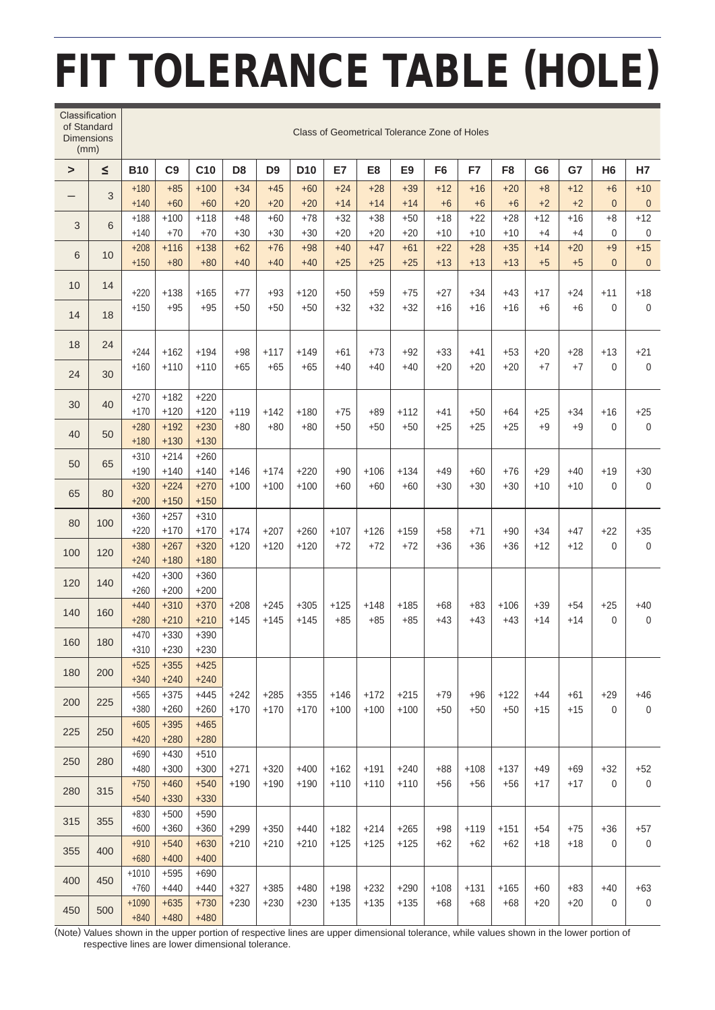## FIT TOLERANCE TABLE (HOLE)

| of Standard<br><b>Dimensions</b><br>(mm) | Classification | Class of Geometrical Tolerance Zone of Holes |                  |                  |                  |                  |                  |                  |                  |                  |                |                 |                 |                |                |                        |                           |
|------------------------------------------|----------------|----------------------------------------------|------------------|------------------|------------------|------------------|------------------|------------------|------------------|------------------|----------------|-----------------|-----------------|----------------|----------------|------------------------|---------------------------|
| $\geq$                                   | $\leq$         | <b>B10</b>                                   | C <sub>9</sub>   | C <sub>10</sub>  | D <sub>8</sub>   | D <sub>9</sub>   | D <sub>10</sub>  | E7               | E <sub>8</sub>   | E <sub>9</sub>   | F <sub>6</sub> | F7              | F <sub>8</sub>  | G <sub>6</sub> | G7             | H <sub>6</sub>         | <b>H7</b>                 |
|                                          | 3              | $+180$<br>$+140$                             | $+85$<br>$+60$   | $+100$<br>$+60$  | $+34$<br>$+20$   | $+45$<br>$+20$   | $+60$<br>$+20$   | $+24$<br>$+14$   | $+28$<br>$+14$   | $+39$<br>$+14$   | $+12$<br>$+6$  | $+16$<br>$+6$   | $+20$<br>$+6$   | $+8$<br>$+2$   | $+12$<br>$+2$  | $+6$<br>$\overline{0}$ | $+10$<br>$\mathbf 0$      |
| 3                                        | 6              | $+188$                                       | $+100$           | $+118$           | $+48$            | $+60$            | $+78$            | $+32$            | $+38$            | $+50$            | $+18$          | $+22$           | $+28$           | $+12$          | $+16$          | $+8$                   | $+12$                     |
|                                          |                | $+140$                                       | $+70$            | $+70$            | $+30$            | $+30$            | $+30$            | $+20$            | $+20$            | $+20$            | $+10$          | $+10$           | $+10$           | $+4$           | $+4$           | $\Omega$               | $\mathbf 0$               |
| 6                                        | 10             | $+208$<br>$+150$                             | $+116$<br>$+80$  | $+138$<br>$+80$  | $+62$<br>$+40$   | $+76$<br>$+40$   | $+98$<br>$+40$   | $+40$<br>$+25$   | $+47$<br>$+25$   | $+61$<br>$+25$   | $+22$<br>$+13$ | $+28$<br>$+13$  | $+35$<br>$+13$  | $+14$<br>$+5$  | $+20$<br>$+5$  | $+9$<br>$\Omega$       | $+15$<br>$\mathbf{0}$     |
| 10                                       | 14             | $+220$                                       | $+138$           | $+165$           | $+77$            | $+93$            | $+120$           | $+50$            | $+59$            | $+75$            | +27            | $+34$           | $+43$           | $+17$          | $+24$          | $+11$                  | $+18$                     |
| 14                                       | 18             | $+150$                                       | $+95$            | $+95$            | $+50$            | $+50$            | $+50$            | $+32$            | $+32$            | $+32$            | $+16$          | $+16$           | $+16$           | $+6$           | $+6$           | $\Omega$               | $\mathbf 0$               |
| 18                                       | 24             | $+244$                                       | $+162$           | $+194$           | $+98$            | $+117$           | $+149$           | $+61$            | $+73$            | $+92$            | $+33$          | $+41$           | $+53$           | $+20$          | $+28$          | $+13$                  | $+21$                     |
| 24                                       | 30             | $+160$                                       | $+110$           | $+110$           | $+65$            | $+65$            | $+65$            | $+40$            | $+40$            | $+40$            | $+20$          | $+20$           | $+20$           | $+7$           | $+7$           | $\Omega$               | $\mathbf 0$               |
| 30                                       | 40             | $+270$<br>$+170$                             | $+182$<br>$+120$ | $+220$<br>$+120$ | $+119$           | $+142$           | $+180$           | $+75$            | $+89$            | $+112$           | +41            | $+50$           | $+64$           | $+25$          | $+34$          | $+16$                  | $+25$                     |
| 40                                       | 50             | $+280$<br>$+180$                             | $+192$<br>$+130$ | $+230$<br>$+130$ | $+80$            | $+80$            | $+80$            | $+50$            | $+50$            | $+50$            | $+25$          | $+25$           | $+25$           | $+9$           | $+9$           | $\Omega$               | $\mathbf{0}$              |
| 50                                       | 65             | $+310$<br>$+190$                             | $+214$<br>$+140$ | $+260$<br>$+140$ | $+146$           | $+174$           | $+220$           | $+90$            | $+106$           | $+134$           | $+49$          | +60             | $+76$           | $+29$          | $+40$          | $+19$                  | $+30$                     |
| 65                                       | 80             | $+320$<br>$+200$                             | $+224$<br>$+150$ | $+270$<br>$+150$ | $+100$           | $+100$           | $+100$           | $+60$            | $+60$            | $+60$            | $+30$          | $+30$           | $+30$           | $+10$          | $+10$          | $\Omega$               | $\mathbf 0$               |
| 80                                       | 100            | $+360$                                       | $+257$           | $+310$           |                  |                  |                  |                  |                  |                  |                |                 |                 |                |                |                        | $+35$                     |
| 100                                      | 120            | $+220$<br>$+380$                             | $+170$<br>$+267$ | $+170$<br>$+320$ | $+174$<br>$+120$ | $+207$<br>$+120$ | $+260$<br>$+120$ | $+107$<br>$+72$  | $+126$<br>$+72$  | $+159$<br>$+72$  | $+58$<br>$+36$ | $+71$<br>$+36$  | $+90$<br>$+36$  | $+34$<br>$+12$ | $+47$<br>$+12$ | +22<br>$\Omega$        | $\mathbf 0$               |
| 120                                      | 140            | $+240$<br>$+420$                             | $+180$<br>$+300$ | $+180$<br>$+360$ |                  |                  |                  |                  |                  |                  |                |                 |                 |                |                |                        |                           |
|                                          |                | $+260$<br>$+440$                             | $+200$<br>$+310$ | $+200$<br>$+370$ | $+208$           | $+245$<br>$+145$ | $+305$<br>$+145$ | $+125$<br>$+85$  | $+148$<br>$+85$  | $+185$<br>$+85$  | $+68$<br>$+43$ | $+83$<br>$+43$  | $+106$<br>$+43$ | $+39$<br>$+14$ | $+54$<br>$+14$ | $+25$<br>$\mathbf 0$   | $+40$<br>0                |
| 140                                      | 160            | $+280$                                       | $+210$           | $+210$           | $+145$           |                  |                  |                  |                  |                  |                |                 |                 |                |                |                        |                           |
| 160                                      | 180            | $+470$<br>$+310$                             | $+330$<br>$+230$ | $+390$<br>$+230$ |                  |                  |                  |                  |                  |                  |                |                 |                 |                |                |                        |                           |
| 180                                      | 200            | $+525$<br>$+340$                             | $+355$<br>$+240$ | $+425$<br>$+240$ |                  |                  |                  |                  |                  |                  |                |                 |                 |                |                |                        |                           |
| 200                                      | 225            | $+565$<br>$+380$                             | $+375$<br>$+260$ | $+445$<br>$+260$ | $+242$<br>$+170$ | $+285$<br>$+170$ | $+355$<br>$+170$ | $+146$<br>$+100$ | $+172$<br>$+100$ | $+215$<br>$+100$ | +79<br>$+50$   | $+96$<br>$+50$  | $+122$<br>$+50$ | +44<br>$+15$   | +61<br>$+15$   | $+29$<br>$\Omega$      | $+46$<br>$\boldsymbol{0}$ |
| 225                                      | 250            | $+605$<br>$+420$                             | $+395$<br>$+280$ | $+465$<br>$+280$ |                  |                  |                  |                  |                  |                  |                |                 |                 |                |                |                        |                           |
| 250                                      | 280            | $+690$<br>$+480$                             | $+430$           | $+510$           |                  |                  | $+400$           | $+162$           | $+191$           | $+240$           |                |                 | $+137$          |                |                |                        |                           |
| 280                                      | 315            | $+750$                                       | $+300$<br>$+460$ | $+300$<br>$+540$ | $+271$<br>$+190$ | $+320$<br>$+190$ | $+190$           | $+110$           | $+110$           | $+110$           | $+88$<br>$+56$ | $+108$<br>$+56$ | $+56$           | $+49$<br>$+17$ | $+69$<br>$+17$ | +32<br>$\Omega$        | $+52$<br>$\mathbf 0$      |
| 315                                      | 355            | $+540$<br>$+830$                             | $+330$<br>$+500$ | $+330$<br>$+590$ |                  | $+350$<br>$+210$ | $+440$<br>$+210$ | $+182$<br>$+125$ |                  | $+265$<br>$+125$ | $+98$<br>+62   | $+119$<br>$+62$ |                 |                |                |                        | $+57$<br>$\boldsymbol{0}$ |
|                                          |                | $+600$<br>$+910$                             | $+360$<br>$+540$ | $+360$<br>$+630$ | $+299$<br>$+210$ |                  |                  |                  | $+214$<br>$+125$ |                  |                |                 | $+151$<br>+62   | $+54$<br>$+18$ | $+75$<br>$+18$ | $+36$<br>$\Omega$      |                           |
| 355                                      | 400            | $+680$                                       | $+400$           | $+400$           |                  |                  |                  |                  |                  |                  |                |                 |                 |                |                |                        |                           |
| 400                                      | 450            | $+1010$<br>$+760$                            | $+595$<br>$+440$ | $+690$<br>$+440$ | $+327$           | $+385$           | +480             | $+198$           | $+232$           | $+290$           | $+108$         | $+131$          | $+165$          | $+60$          | $+83$          | +40                    | $+63$                     |
| 450                                      | 500            | $+1090$                                      | $+635$           | $+730$           | $+230$           | $+230$           | $+230$           | $+135$           | $+135$           | $+135$           | +68            | $+68$           | $+68$           | $+20$          | $+20$          | $\mathbf 0$            | $\mathbf 0$               |
|                                          |                | $+840$                                       | $+480$           | $+480$           |                  |                  |                  |                  |                  |                  |                |                 |                 |                |                |                        |                           |

(Note) Values shown in the upper portion of respective lines are upper dimensional tolerance, while values shown in the lower portion of respective lines are lower dimensional tolerance.